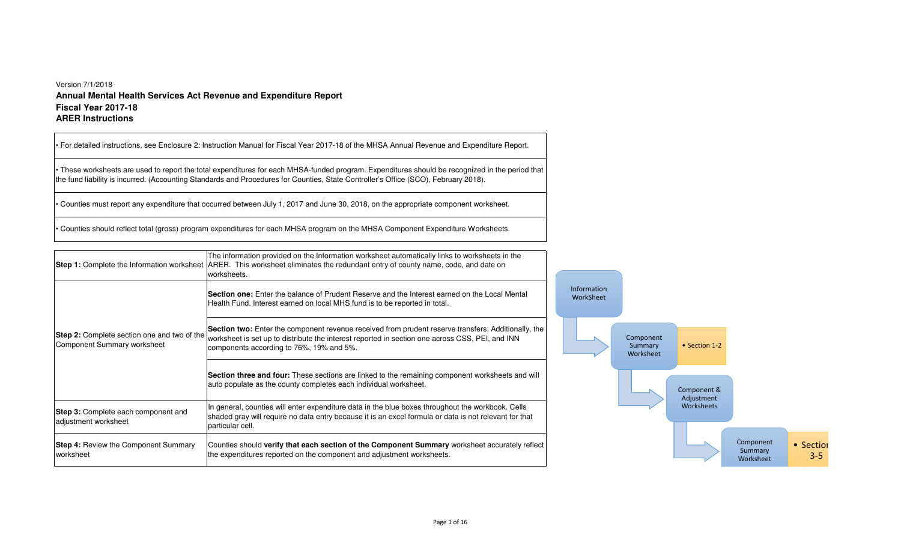## Version 7/1/2018 **Annual Mental Health Services Act Revenue and Expenditure ReportFiscal Year 2017-18ARER Instructions**

|                                                                            | • For detailed instructions, see Enclosure 2: Instruction Manual for Fiscal Year 2017-18 of the MHSA Annual Revenue and Expenditure Report.                                                                                                                                          |                          |                                   |                           |                                   |                      |
|----------------------------------------------------------------------------|--------------------------------------------------------------------------------------------------------------------------------------------------------------------------------------------------------------------------------------------------------------------------------------|--------------------------|-----------------------------------|---------------------------|-----------------------------------|----------------------|
|                                                                            | These worksheets are used to report the total expenditures for each MHSA-funded program. Expenditures should be recognized in the period that<br>the fund liability is incurred. (Accounting Standards and Procedures for Counties, State Controller's Office (SCO), February 2018). |                          |                                   |                           |                                   |                      |
|                                                                            | Counties must report any expenditure that occurred between July 1, 2017 and June 30, 2018, on the appropriate component worksheet.                                                                                                                                                   |                          |                                   |                           |                                   |                      |
|                                                                            | Counties should reflect total (gross) program expenditures for each MHSA program on the MHSA Component Expenditure Worksheets.                                                                                                                                                       |                          |                                   |                           |                                   |                      |
|                                                                            | The information provided on the Information worksheet automatically links to worksheets in the<br>Step 1: Complete the Information worksheet ARER. This worksheet eliminates the redundant entry of county name, code, and date on<br>worksheets.                                    |                          |                                   |                           |                                   |                      |
|                                                                            | <b>Section one:</b> Enter the balance of Prudent Reserve and the Interest earned on the Local Mental<br>Health Fund. Interest earned on local MHS fund is to be reported in total.                                                                                                   | Information<br>WorkSheet |                                   |                           |                                   |                      |
| Step 2: Complete section one and two of the<br>Component Summary worksheet | Section two: Enter the component revenue received from prudent reserve transfers. Additionally, the<br>worksheet is set up to distribute the interest reported in section one across CSS, PEI, and INN<br>components according to 76%, 19% and 5%.                                   |                          | Component<br>Summary<br>Worksheet | • Section 1-2             |                                   |                      |
|                                                                            | Section three and four: These sections are linked to the remaining component worksheets and will<br>auto populate as the county completes each individual worksheet.                                                                                                                 |                          |                                   | Component &<br>Adjustment |                                   |                      |
| Step 3: Complete each component and<br>adjustment worksheet                | In general, counties will enter expenditure data in the blue boxes throughout the workbook. Cells<br>shaded gray will require no data entry because it is an excel formula or data is not relevant for that<br>particular cell.                                                      |                          |                                   | Worksheets                |                                   |                      |
| Step 4: Review the Component Summary<br>worksheet                          | Counties should verify that each section of the Component Summary worksheet accurately reflect<br>the expenditures reported on the component and adjustment worksheets.                                                                                                              |                          |                                   |                           | Component<br>Summary<br>Worksheet | • Section<br>$3 - 5$ |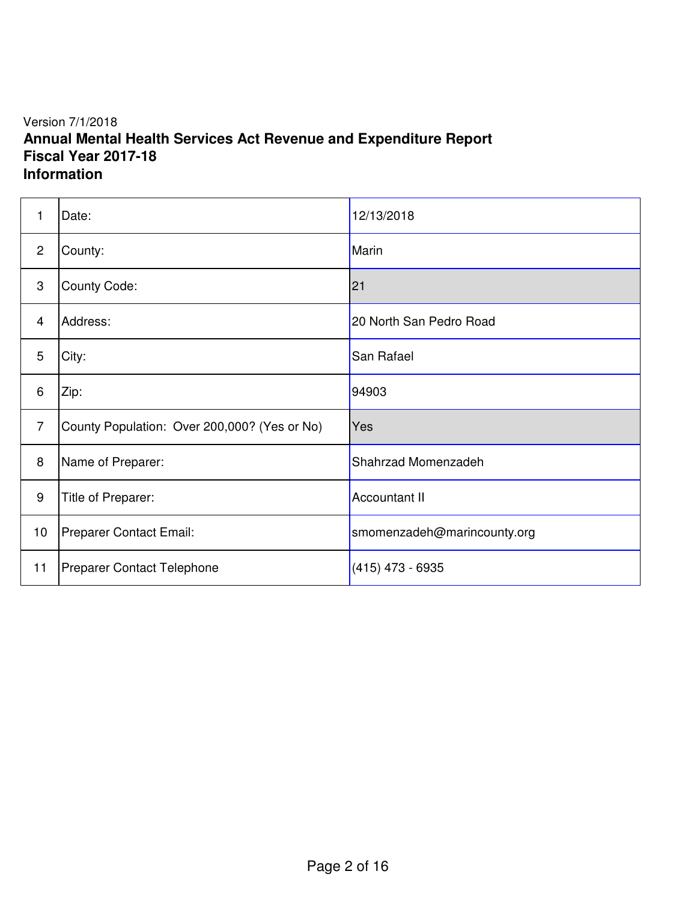## Version 7/1/2018 **Annual Mental Health Services Act Revenue and Expenditure Report Fiscal Year 2017-18 Information**

| $\mathbf{1}$    | Date:                                        | 12/13/2018                  |
|-----------------|----------------------------------------------|-----------------------------|
| $\overline{2}$  | County:                                      | Marin                       |
| 3               | County Code:                                 | 21                          |
| 4               | Address:                                     | 20 North San Pedro Road     |
| 5               | City:                                        | San Rafael                  |
| 6               | Zip:                                         | 94903                       |
| $\overline{7}$  | County Population: Over 200,000? (Yes or No) | Yes                         |
| 8               | Name of Preparer:                            | Shahrzad Momenzadeh         |
| 9               | Title of Preparer:                           | <b>Accountant II</b>        |
| 10 <sub>1</sub> | Preparer Contact Email:                      | smomenzadeh@marincounty.org |
| 11              | Preparer Contact Telephone                   | $(415)$ 473 - 6935          |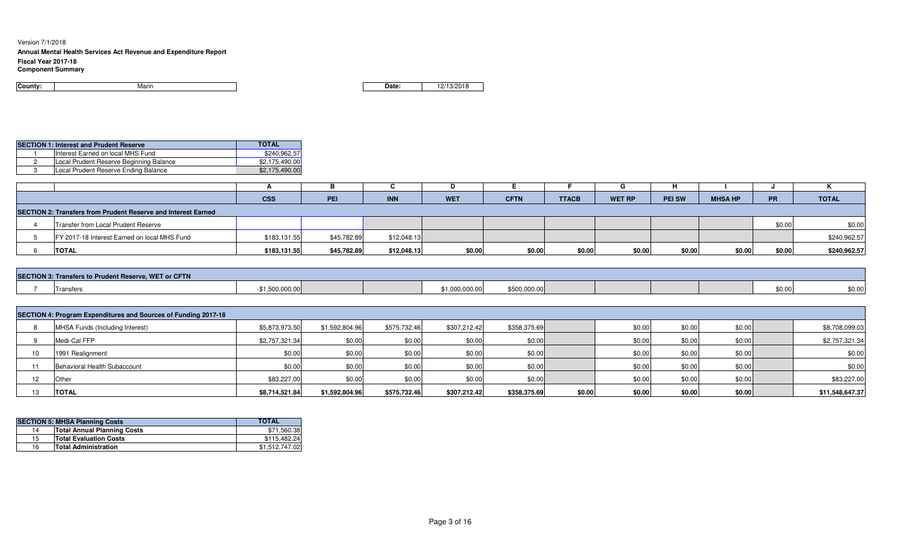#### Version 7/1/2018

### **Annual Mental Health Services Act Revenue and Expenditure Report**

**Fiscal Year 2017-18**

#### **Component Summary**

| County: | Marın |
|---------|-------|
|         |       |

**n Date:** 12/13/2018

|  | <b>SECTION 1: Interest and Prudent Reserve</b> | <b>TOTAL</b>   |
|--|------------------------------------------------|----------------|
|  | Interest Earned on local MHS Fund              | \$240.962.57   |
|  | Local Prudent Reserve Beginning Balance        | \$2.175.490.00 |
|  | Local Prudent Reserve Ending Balance           | \$2,175,490.00 |

|                                                                      |                                              | <b>CSS</b>   | PEI         | <b>INN</b>  | <b>WET</b> | <b>CFTN</b> | <b>TTACB</b> | <b>WET RP</b> | <b>PEI SW</b> | <b>MHSA HP</b> | PR     | <b>TOTAL</b> |
|----------------------------------------------------------------------|----------------------------------------------|--------------|-------------|-------------|------------|-------------|--------------|---------------|---------------|----------------|--------|--------------|
| <b>SECTION 2: Transfers from Prudent Reserve and Interest Earned</b> |                                              |              |             |             |            |             |              |               |               |                |        |              |
|                                                                      | Transfer from Local Prudent Reserve          |              |             |             |            |             |              |               |               |                | \$0.00 | \$0.00       |
|                                                                      | FY 2017-18 Interest Earned on local MHS Fund | \$183,131.55 | \$45,782.89 | \$12,048.13 |            |             |              |               |               |                |        | \$240,962.57 |
|                                                                      | <b>TOTAL</b>                                 | \$183,131.55 | \$45,782.89 | \$12,048.13 | \$0.00     | \$0.00      | \$0.00       | \$0.00        | \$0.00        | \$0.00         | \$0.00 | \$240,962.57 |

| SECTION 3: Transfers to Prudent Reserve, WET or CFTN |        |  |                  |              |  |  |        |                 |  |  |  |
|------------------------------------------------------|--------|--|------------------|--------------|--|--|--------|-----------------|--|--|--|
| Trone<br>ι αποισι.                                   | uuu uu |  | ا 1,000,000.00 ر | \$500,000.00 |  |  | \$0.00 | \$0.00<br>ww.uc |  |  |  |

|    | SECTION 4: Program Expenditures and Sources of Funding 2017-18 |                |                |              |              |              |                  |        |        |  |                 |  |  |
|----|----------------------------------------------------------------|----------------|----------------|--------------|--------------|--------------|------------------|--------|--------|--|-----------------|--|--|
|    | MHSA Funds (Including Interest)                                | \$5,873,973.50 | \$1,592,804.96 | \$575,732.46 | \$307,212.42 | \$358,375.69 | \$0.00           | \$0.00 | \$0.00 |  | \$8,708,099.03  |  |  |
|    | Medi-Cal FFP                                                   | \$2,757,321.34 | \$0.00         | \$0.00       | \$0.00       | \$0.00       | \$0.00           | \$0.00 | \$0.00 |  | \$2,757,321.34  |  |  |
|    | 1991 Realignment                                               | \$0.00         | \$0.00         | \$0.00       | \$0.00       | \$0.00       | \$0.00           | \$0.00 | \$0.00 |  | \$0.00          |  |  |
| 11 | Behavioral Health Subaccount                                   | \$0.00         | \$0.00         | \$0.00       | \$0.00       | \$0.00       | \$0.00           | \$0.00 | \$0.00 |  | \$0.00          |  |  |
|    | Other                                                          | \$83,227.00    | \$0.00         | \$0.00       | \$0.00       | \$0.00       | \$0.00           | \$0.00 | \$0.00 |  | \$83,227.00     |  |  |
|    | <b>TOTAL</b>                                                   | \$8,714,521.84 | \$1,592,804.96 | \$575,732.46 | \$307,212.42 | \$358,375.69 | \$0.00<br>\$0.00 | \$0.00 | \$0.00 |  | \$11,548,647.37 |  |  |

|    | <b>SECTION 5: MHSA Planning Costs</b> | <b>TOTAL</b>   |
|----|---------------------------------------|----------------|
| 14 | <b>Total Annual Planning Costs</b>    | \$71,560.38    |
| 15 | <b>Total Evaluation Costs</b>         | \$115.482.24   |
| 16 | <b>Total Administration</b>           | \$1.512.747.02 |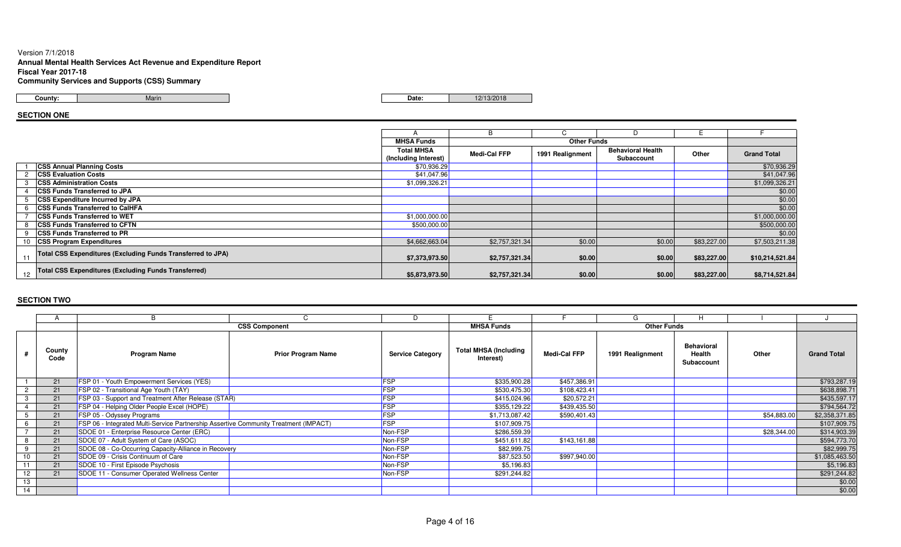### Version 7/1/2018 **Annual Mental Health Services Act Revenue and Expenditure ReportFiscal Year 2017-18Community Services and Supports (CSS) Summary**

Marin

**County:**

**Date:** 22/13/2018 **Date:** 22/13/2018

## **SECTION ONE**

|    |                                                             |                      | B              | ◡                  |                          |             |                    |
|----|-------------------------------------------------------------|----------------------|----------------|--------------------|--------------------------|-------------|--------------------|
|    |                                                             | <b>MHSA Funds</b>    |                | <b>Other Funds</b> |                          |             |                    |
|    |                                                             | <b>Total MHSA</b>    | Medi-Cal FFP   | 1991 Realignment   | <b>Behavioral Health</b> | Other       | <b>Grand Total</b> |
|    |                                                             | (Including Interest) |                |                    | Subaccount               |             |                    |
|    | <b>CSS Annual Planning Costs</b>                            | \$70,936.29          |                |                    |                          |             | \$70,936.29        |
|    | <b>CSS Evaluation Costs</b>                                 | \$41,047.96          |                |                    |                          |             | \$41,047.96        |
|    | <b>CSS Administration Costs</b>                             | \$1,099,326.21       |                |                    |                          |             | \$1,099,326.21     |
|    | <b>CSS Funds Transferred to JPA</b>                         |                      |                |                    |                          |             | \$0.00             |
|    | <b>CSS Expenditure Incurred by JPA</b>                      |                      |                |                    |                          |             | \$0.00             |
|    | <b>ICSS Funds Transferred to CalHFA</b>                     |                      |                |                    |                          |             | \$0.00             |
|    | <b>CSS Funds Transferred to WET</b>                         | \$1,000,000.00       |                |                    |                          |             | \$1,000,000.00     |
|    | <b>CSS Funds Transferred to CFTN</b>                        | \$500,000.00         |                |                    |                          |             | \$500,000.00       |
|    | <b>CSS Funds Transferred to PR</b>                          |                      |                |                    |                          |             | \$0.00             |
|    | <b>CSS Program Expenditures</b>                             | \$4,662,663.04       | \$2,757,321.34 | \$0.00             | \$0.00                   | \$83,227.00 | \$7,503,211.38     |
|    | Total CSS Expenditures (Excluding Funds Transferred to JPA) |                      |                |                    |                          |             |                    |
|    |                                                             | \$7,373,973.50       | \$2,757,321.34 | \$0.00             | \$0.00                   | \$83,227.00 | \$10,214,521.84    |
|    | <b>Total CSS Expenditures (Excluding Funds Transferred)</b> |                      |                |                    |                          |             |                    |
| 12 |                                                             | \$5,873,973.50       | \$2,757,321.34 | \$0.00             | \$0.00                   | \$83,227.00 | \$8,714,521.84     |

|    |                |                                                                                      |                           |                         |                                           |                     |                    | н                                         |             |                    |
|----|----------------|--------------------------------------------------------------------------------------|---------------------------|-------------------------|-------------------------------------------|---------------------|--------------------|-------------------------------------------|-------------|--------------------|
|    |                |                                                                                      | <b>CSS Component</b>      |                         | <b>MHSA Funds</b>                         |                     | <b>Other Funds</b> |                                           |             |                    |
|    | County<br>Code | <b>Program Name</b>                                                                  | <b>Prior Program Name</b> | <b>Service Category</b> | <b>Total MHSA (Including</b><br>Interest) | <b>Medi-Cal FFP</b> | 1991 Realignment   | <b>Behavioral</b><br>Health<br>Subaccount | Other       | <b>Grand Total</b> |
|    | 21             | FSP 01 - Youth Empowerment Services (YES)                                            |                           | <b>FSP</b>              | \$335,900.28                              | \$457,386.91        |                    |                                           |             | \$793,287.19       |
|    | 21             | FSP 02 - Transitional Age Youth (TAY)                                                |                           | <b>FSP</b>              | \$530,475.30                              | \$108,423.41        |                    |                                           |             | \$638,898.7        |
|    | 21             | FSP 03 - Support and Treatment After Release (STAR)                                  |                           | <b>FSP</b>              | \$415,024.96                              | \$20,572.21         |                    |                                           |             | \$435,597.17       |
|    | 21             | FSP 04 - Helping Older People Excel (HOPE)                                           |                           | <b>FSP</b>              | \$355,129.22                              | \$439,435.50        |                    |                                           |             | \$794,564.72       |
|    | 21             | FSP 05 - Odyssey Programs                                                            |                           | <b>FSP</b>              | \$1,713,087.42                            | \$590,401.43        |                    |                                           | \$54,883.00 | \$2,358,371.85     |
|    | 21             | FSP 06 - Integrated Multi-Service Partnership Assertive Community Treatment (IMPACT) |                           | <b>FSP</b>              | \$107,909.75                              |                     |                    |                                           |             | \$107,909.75       |
|    | 21             | SDOE 01 - Enterprise Resource Center (ERC)                                           |                           | Non-FSP                 | \$286,559.39                              |                     |                    |                                           | \$28,344.00 | \$314,903.39       |
|    | 21             | SDOE 07 - Adult System of Care (ASOC)                                                |                           | Non-FSP                 | \$451,611.82                              | \$143,161.88        |                    |                                           |             | \$594,773.70       |
|    | 21             | SDOE 08 - Co-Occurring Capacity-Alliance in Recovery                                 |                           | Non-FSP                 | \$82,999.75                               |                     |                    |                                           |             | \$82,999.75        |
| 10 | 21             | SDOE 09 - Crisis Continuum of Care                                                   |                           | Non-FSP                 | \$87,523.50                               | \$997,940.00        |                    |                                           |             | \$1,085,463.50     |
|    | 21             | SDOE 10 - First Episode Psychosis                                                    |                           | Non-FSP                 | \$5,196.83                                |                     |                    |                                           |             | \$5,196.83         |
| 12 | 21             | SDOE 11 - Consumer Operated Wellness Center                                          |                           | Non-FSP                 | \$291,244.82                              |                     |                    |                                           |             | \$291,244.82       |
| 13 |                |                                                                                      |                           |                         |                                           |                     |                    |                                           |             | \$0.00             |
| 14 |                |                                                                                      |                           |                         |                                           |                     |                    |                                           |             | \$0.00             |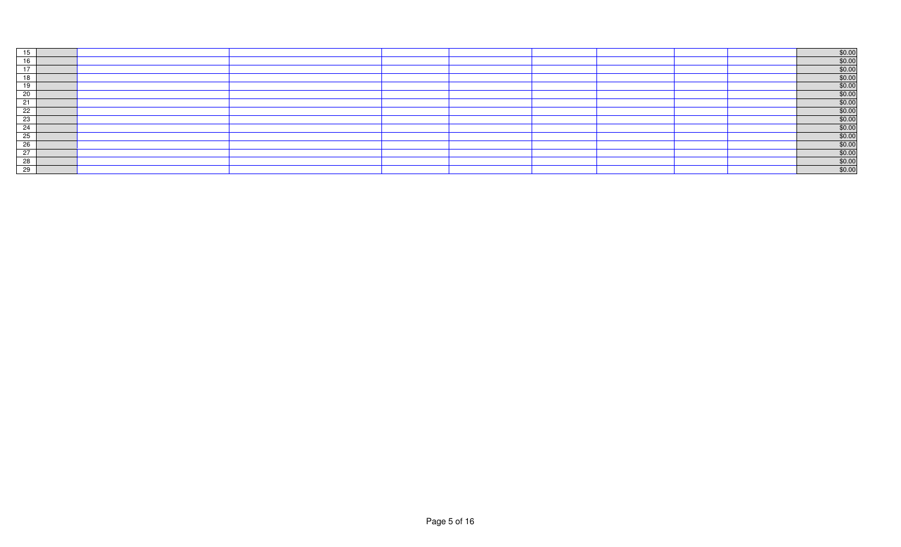| 15 |  |  |  |  | $$0.00$<br>$$0.00$    |
|----|--|--|--|--|-----------------------|
| 16 |  |  |  |  |                       |
| 17 |  |  |  |  | \$0.00                |
| 18 |  |  |  |  | \$0.00                |
| 19 |  |  |  |  | \$0.00                |
| 20 |  |  |  |  | \$0.00                |
| 21 |  |  |  |  | \$0.00                |
| 22 |  |  |  |  | \$0.00                |
| 23 |  |  |  |  | \$0.00                |
| 24 |  |  |  |  | \$0.00                |
| 25 |  |  |  |  | \$0.00                |
| 26 |  |  |  |  | \$0.00                |
| 27 |  |  |  |  | \$0.00                |
| 28 |  |  |  |  | $\frac{$0.00}{$0.00}$ |
| 29 |  |  |  |  |                       |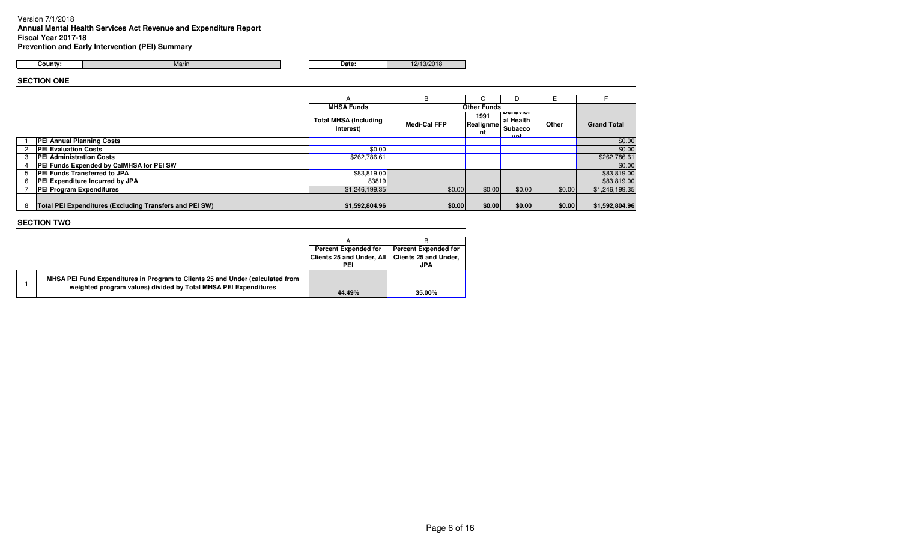### Version 7/1/2018

**Annual Mental Health Services Act Revenue and Expenditure Report**

Marin

**Fiscal Year 2017-18**

**Prevention and Early Intervention (PEI) Summary**

**County:**

**Date:** 12/13/2018

## **SECTION ONE**

|   |                                                         |                                           | B                   | ι.                      | D                                          |        |                    |
|---|---------------------------------------------------------|-------------------------------------------|---------------------|-------------------------|--------------------------------------------|--------|--------------------|
|   |                                                         | <b>MHSA Funds</b>                         |                     | <b>Other Funds</b>      |                                            |        |                    |
|   |                                                         | <b>Total MHSA (Including</b><br>Interest) | <b>Medi-Cal FFP</b> | 1991<br>Realignme<br>nt | penavior<br>al Health<br>Subacco<br>للمحمد | Other  | <b>Grand Total</b> |
|   | PEI Annual Planning Costs                               |                                           |                     |                         |                                            |        | \$0.00             |
|   | <b>PEI Evaluation Costs</b>                             | \$0.00                                    |                     |                         |                                            |        | \$0.00             |
| 3 | <b>PEI Administration Costs</b>                         | \$262,786.61                              |                     |                         |                                            |        | \$262,786.61       |
|   | <b>PEI Funds Expended by CalMHSA for PEI SW</b>         |                                           |                     |                         |                                            |        | \$0.00             |
|   | PEI Funds Transferred to JPA                            | \$83,819.00                               |                     |                         |                                            |        | \$83,819.00        |
| 6 | PEI Expenditure Incurred by JPA                         | 83819                                     |                     |                         |                                            |        | \$83,819.00        |
|   | <b>PEI Program Expenditures</b>                         | \$1,246,199.35                            | \$0.00              | \$0.00                  | \$0.00                                     | \$0.00 | \$1,246,199.35     |
| 8 | Total PEI Expenditures (Excluding Transfers and PEI SW) | \$1,592,804.96                            | \$0.00              | \$0.00                  | \$0.00                                     | \$0.00 | \$1,592,804.96     |

|  |                                                                                                                                                   | <b>Percent Expended for</b> | <b>Percent Expended for</b> |
|--|---------------------------------------------------------------------------------------------------------------------------------------------------|-----------------------------|-----------------------------|
|  |                                                                                                                                                   | Clients 25 and Under, All   | Clients 25 and Under,       |
|  |                                                                                                                                                   | PEI                         | JPA                         |
|  | MHSA PEI Fund Expenditures in Program to Clients 25 and Under (calculated from<br>weighted program values) divided by Total MHSA PEI Expenditures |                             |                             |
|  |                                                                                                                                                   | 44.49%                      | 35.00%                      |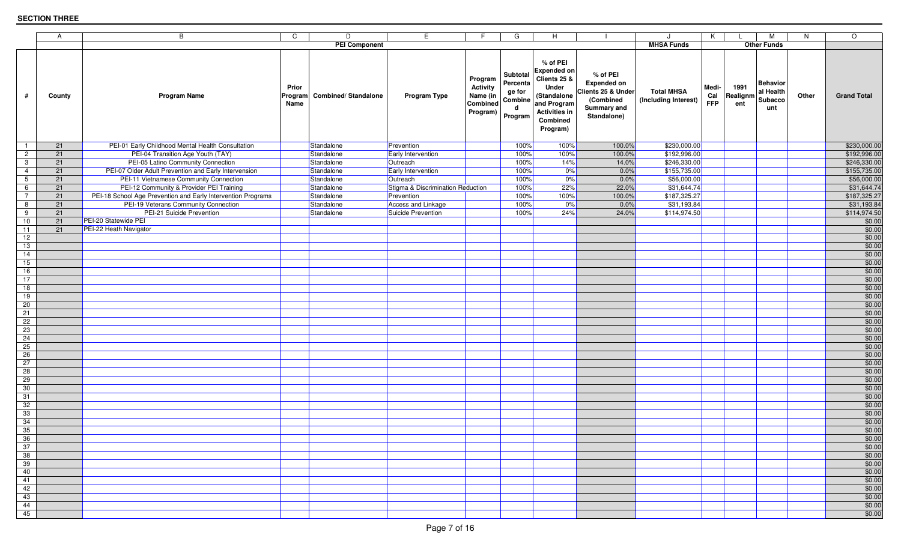|                 | A      | B                                                            | C<br>D                                                 | E.                                |                                                                | G                                                         | H                                                                                                                                     |                                                                                                        | $\cdot$                                   | K                          |                         | м                                              | N.    | $\circ$            |
|-----------------|--------|--------------------------------------------------------------|--------------------------------------------------------|-----------------------------------|----------------------------------------------------------------|-----------------------------------------------------------|---------------------------------------------------------------------------------------------------------------------------------------|--------------------------------------------------------------------------------------------------------|-------------------------------------------|----------------------------|-------------------------|------------------------------------------------|-------|--------------------|
|                 |        |                                                              | <b>PEI Component</b>                                   |                                   |                                                                |                                                           |                                                                                                                                       |                                                                                                        | <b>MHSA Funds</b>                         |                            |                         | <b>Other Funds</b>                             |       |                    |
| #               | County | <b>Program Name</b>                                          | Prior<br><b>Combined/Standalone</b><br>Program<br>Name | Program Type                      | Program<br><b>Activity</b><br>Name (in<br>Combined<br>Program) | Subtotal<br>Percenta<br>ge for<br>Combine<br>d<br>Program | % of PEI<br><b>Expended on</b><br>Clients 25 &<br>Under<br>(Standalone<br>and Program<br><b>Activities in</b><br>Combined<br>Program) | % of PEI<br><b>Expended on</b><br>Clients 25 & Under<br>(Combined<br><b>Summary and</b><br>Standalone) | <b>Total MHSA</b><br>(Including Interest) | Medi-<br>Cal<br><b>FFP</b> | 1991<br>Realignm<br>ent | <b>Behavior</b><br>al Health<br>Subacco<br>unt | Other | <b>Grand Total</b> |
| $\overline{1}$  | 21     | PEI-01 Early Childhood Mental Health Consultation            | Standalone                                             | Prevention                        |                                                                | 100%                                                      | 100%                                                                                                                                  | 100.0%                                                                                                 | \$230,000.00                              |                            |                         |                                                |       | \$230,000.00       |
| $\overline{2}$  | 21     | PEI-04 Transition Age Youth (TAY)                            | Standalone                                             | Early Intervention                |                                                                | 100%                                                      | 100%                                                                                                                                  | 100.0%                                                                                                 | \$192,996.00                              |                            |                         |                                                |       | \$192,996.00       |
| $\mathbf{3}$    | 21     | PEI-05 Latino Community Connection                           | Standalone                                             | Outreach                          |                                                                | 100%                                                      | 14%                                                                                                                                   | 14.0%                                                                                                  | \$246,330.00                              |                            |                         |                                                |       | \$246,330.00       |
| $\overline{4}$  | 21     | PEI-07 Older Adult Prevention and Early Intervension         | Standalone                                             | Early Intervention                |                                                                | 100%                                                      | 0%                                                                                                                                    | 0.0%                                                                                                   | \$155,735.00                              |                            |                         |                                                |       | \$155,735.00       |
| $5\overline{)}$ | 21     | PEI-11 Vietnamese Community Connection                       | Standalone                                             | Outreach                          |                                                                | 100%                                                      | 0%                                                                                                                                    | 0.0%                                                                                                   | \$56,000.00                               |                            |                         |                                                |       | \$56,000.00        |
| 6               | 21     | PEI-12 Community & Provider PEI Training                     | Standalone                                             | Stigma & Discrimination Reduction |                                                                | 100%                                                      | 22%                                                                                                                                   | 22.0%                                                                                                  | \$31,644.74                               |                            |                         |                                                |       | \$31,644.74        |
| $7\overline{ }$ | 21     | PEI-18 School Age Prevention and Early Intervention Programs | Standalone                                             | Prevention                        |                                                                | 100%                                                      | 100%                                                                                                                                  | 100.0%                                                                                                 | \$187,325.27                              |                            |                         |                                                |       | \$187,325.27       |
| 8               | 21     | PEI-19 Veterans Community Connection                         | Standalone                                             | Access and Linkage                |                                                                | 100%                                                      | 0%                                                                                                                                    | 0.0%                                                                                                   | \$31,193.84                               |                            |                         |                                                |       | \$31,193.84        |
| 9               | 21     | PEI-21 Suicide Prevention                                    | Standalone                                             | Suicide Prevention                |                                                                | 100%                                                      | 24%                                                                                                                                   | 24.0%                                                                                                  | \$114,974.50                              |                            |                         |                                                |       | \$114,974.50       |
| 10              | 21     | PEI-20 Statewide PEI                                         |                                                        |                                   |                                                                |                                                           |                                                                                                                                       |                                                                                                        |                                           |                            |                         |                                                |       | \$0.00             |
| 11              | 21     | PEI-22 Heath Navigator                                       |                                                        |                                   |                                                                |                                                           |                                                                                                                                       |                                                                                                        |                                           |                            |                         |                                                |       | \$0.00             |
| 12              |        |                                                              |                                                        |                                   |                                                                |                                                           |                                                                                                                                       |                                                                                                        |                                           |                            |                         |                                                |       | \$0.00             |
| 13              |        |                                                              |                                                        |                                   |                                                                |                                                           |                                                                                                                                       |                                                                                                        |                                           |                            |                         |                                                |       | \$0.00             |
| 14              |        |                                                              |                                                        |                                   |                                                                |                                                           |                                                                                                                                       |                                                                                                        |                                           |                            |                         |                                                |       | \$0.00             |
| 15              |        |                                                              |                                                        |                                   |                                                                |                                                           |                                                                                                                                       |                                                                                                        |                                           |                            |                         |                                                |       | \$0.00             |
| 16              |        |                                                              |                                                        |                                   |                                                                |                                                           |                                                                                                                                       |                                                                                                        |                                           |                            |                         |                                                |       | \$0.00             |
| 17              |        |                                                              |                                                        |                                   |                                                                |                                                           |                                                                                                                                       |                                                                                                        |                                           |                            |                         |                                                |       | \$0.00             |
| 18              |        |                                                              |                                                        |                                   |                                                                |                                                           |                                                                                                                                       |                                                                                                        |                                           |                            |                         |                                                |       | \$0.00             |
| 19              |        |                                                              |                                                        |                                   |                                                                |                                                           |                                                                                                                                       |                                                                                                        |                                           |                            |                         |                                                |       | \$0.00             |
| 20              |        |                                                              |                                                        |                                   |                                                                |                                                           |                                                                                                                                       |                                                                                                        |                                           |                            |                         |                                                |       | \$0.00             |
| 21              |        |                                                              |                                                        |                                   |                                                                |                                                           |                                                                                                                                       |                                                                                                        |                                           |                            |                         |                                                |       | \$0.00             |
| $\overline{22}$ |        |                                                              |                                                        |                                   |                                                                |                                                           |                                                                                                                                       |                                                                                                        |                                           |                            |                         |                                                |       | \$0.00             |
| 23              |        |                                                              |                                                        |                                   |                                                                |                                                           |                                                                                                                                       |                                                                                                        |                                           |                            |                         |                                                |       | \$0.00             |
| 24              |        |                                                              |                                                        |                                   |                                                                |                                                           |                                                                                                                                       |                                                                                                        |                                           |                            |                         |                                                |       | \$0.00             |
| 25              |        |                                                              |                                                        |                                   |                                                                |                                                           |                                                                                                                                       |                                                                                                        |                                           |                            |                         |                                                |       | \$0.00             |
| 26              |        |                                                              |                                                        |                                   |                                                                |                                                           |                                                                                                                                       |                                                                                                        |                                           |                            |                         |                                                |       | \$0.00             |
| 27              |        |                                                              |                                                        |                                   |                                                                |                                                           |                                                                                                                                       |                                                                                                        |                                           |                            |                         |                                                |       | \$0.00             |
| 28              |        |                                                              |                                                        |                                   |                                                                |                                                           |                                                                                                                                       |                                                                                                        |                                           |                            |                         |                                                |       | \$0.00             |
| 29              |        |                                                              |                                                        |                                   |                                                                |                                                           |                                                                                                                                       |                                                                                                        |                                           |                            |                         |                                                |       | \$0.00             |
| 30              |        |                                                              |                                                        |                                   |                                                                |                                                           |                                                                                                                                       |                                                                                                        |                                           |                            |                         |                                                |       | \$0.00             |
| 31              |        |                                                              |                                                        |                                   |                                                                |                                                           |                                                                                                                                       |                                                                                                        |                                           |                            |                         |                                                |       | \$0.00             |
| 32              |        |                                                              |                                                        |                                   |                                                                |                                                           |                                                                                                                                       |                                                                                                        |                                           |                            |                         |                                                |       | \$0.00             |
|                 |        |                                                              |                                                        |                                   |                                                                |                                                           |                                                                                                                                       |                                                                                                        |                                           |                            |                         |                                                |       |                    |
| 33              |        |                                                              |                                                        |                                   |                                                                |                                                           |                                                                                                                                       |                                                                                                        |                                           |                            |                         |                                                |       | \$0.00<br>\$0.00   |
| 34              |        |                                                              |                                                        |                                   |                                                                |                                                           |                                                                                                                                       |                                                                                                        |                                           |                            |                         |                                                |       |                    |
| 35              |        |                                                              |                                                        |                                   |                                                                |                                                           |                                                                                                                                       |                                                                                                        |                                           |                            |                         |                                                |       | \$0.00             |
| 36              |        |                                                              |                                                        |                                   |                                                                |                                                           |                                                                                                                                       |                                                                                                        |                                           |                            |                         |                                                |       | \$0.00             |
| 37              |        |                                                              |                                                        |                                   |                                                                |                                                           |                                                                                                                                       |                                                                                                        |                                           |                            |                         |                                                |       | \$0.00             |
| 38              |        |                                                              |                                                        |                                   |                                                                |                                                           |                                                                                                                                       |                                                                                                        |                                           |                            |                         |                                                |       | \$0.00             |
| 39              |        |                                                              |                                                        |                                   |                                                                |                                                           |                                                                                                                                       |                                                                                                        |                                           |                            |                         |                                                |       | \$0.00             |
| 40              |        |                                                              |                                                        |                                   |                                                                |                                                           |                                                                                                                                       |                                                                                                        |                                           |                            |                         |                                                |       | \$0.00             |
| 41              |        |                                                              |                                                        |                                   |                                                                |                                                           |                                                                                                                                       |                                                                                                        |                                           |                            |                         |                                                |       | \$0.00             |
| 42              |        |                                                              |                                                        |                                   |                                                                |                                                           |                                                                                                                                       |                                                                                                        |                                           |                            |                         |                                                |       | \$0.00             |
| 43              |        |                                                              |                                                        |                                   |                                                                |                                                           |                                                                                                                                       |                                                                                                        |                                           |                            |                         |                                                |       | \$0.00             |
| 44              |        |                                                              |                                                        |                                   |                                                                |                                                           |                                                                                                                                       |                                                                                                        |                                           |                            |                         |                                                |       | \$0.00             |
| 45              |        |                                                              |                                                        |                                   |                                                                |                                                           |                                                                                                                                       |                                                                                                        |                                           |                            |                         |                                                |       | \$0.00             |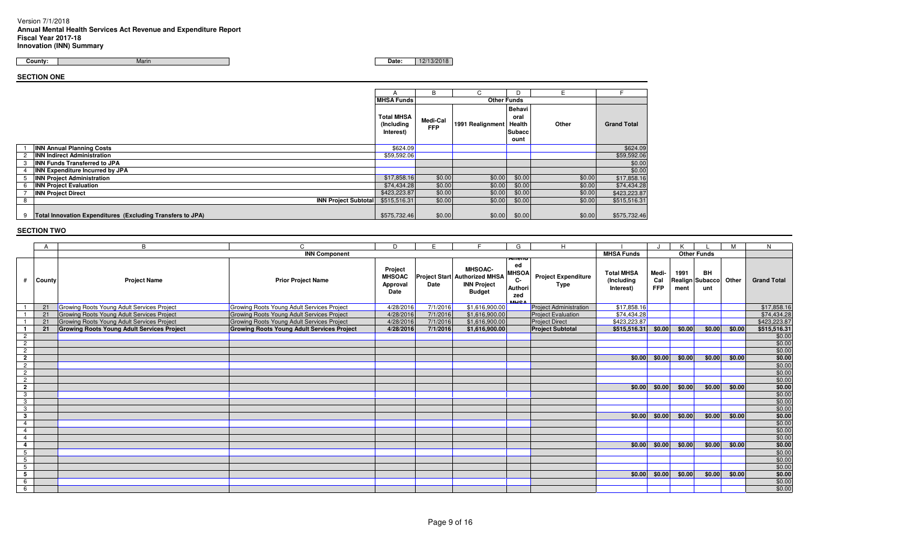## Version 7/1/2018 **Annual Mental Health Services Act Revenue and Expenditure ReportFiscal Year 2017-18 Innovation (INN) Summary**

Marin**Date:** 12/13/2018 **County:**

**SECTION ONE**

|   |                                                            |                                              | B                      |                    | D                                                 |        |                    |
|---|------------------------------------------------------------|----------------------------------------------|------------------------|--------------------|---------------------------------------------------|--------|--------------------|
|   |                                                            | <b>MHSA Funds</b>                            |                        | <b>Other Funds</b> |                                                   |        |                    |
|   |                                                            | <b>Total MHSA</b><br>(Including<br>Interest) | Medi-Cal<br><b>FFP</b> | 1991 Realignment   | Behavi<br>oral<br><b>Health</b><br>Subacc<br>ount | Other  | <b>Grand Total</b> |
|   | <b>INN Annual Planning Costs</b>                           | \$624.09                                     |                        |                    |                                                   |        | \$624.09           |
|   | <b>INN Indirect Administration</b>                         | \$59,592.06                                  |                        |                    |                                                   |        | \$59,592.06        |
| 3 | <b>INN Funds Transferred to JPA</b>                        |                                              |                        |                    |                                                   |        | \$0.00             |
|   | <b>INN Expenditure Incurred by JPA</b>                     |                                              |                        |                    |                                                   |        | \$0.00             |
|   | <b>INN Project Administration</b>                          | \$17,858.16                                  | \$0.00                 | \$0.00             | \$0.00                                            | \$0.00 | \$17,858.16        |
|   | <b>INN Project Evaluation</b>                              | \$74,434.28                                  | \$0.00                 | \$0.00             | \$0.00                                            | \$0.00 | \$74,434.28        |
|   | <b>INN Project Direct</b>                                  | \$423,223.87                                 | \$0.00                 | \$0.00             | \$0.00                                            | \$0.00 | \$423,223.87       |
|   | <b>INN Project Subtotal</b>                                | \$515,516.31                                 | \$0.00                 | \$0.00             | \$0.00                                            | \$0.00 | \$515,516.31       |
| 9 | Total Innovation Expenditures (Excluding Transfers to JPA) | \$575,732.46                                 | \$0.00                 | \$0.00             | \$0.00                                            | \$0.00 | \$575,732.46       |

|                |        | B                                                 |                                                   | D                                            | E        |                                                                                               | G                                                                 | $\mathsf{H}$                       |                                              |                            |              |                                     | М      | N                  |
|----------------|--------|---------------------------------------------------|---------------------------------------------------|----------------------------------------------|----------|-----------------------------------------------------------------------------------------------|-------------------------------------------------------------------|------------------------------------|----------------------------------------------|----------------------------|--------------|-------------------------------------|--------|--------------------|
|                |        |                                                   | <b>INN Component</b>                              |                                              |          |                                                                                               |                                                                   |                                    | <b>MHSA Funds</b>                            |                            |              | <b>Other Funds</b>                  |        |                    |
| Ħ              | County | <b>Project Name</b>                               | <b>Prior Project Name</b>                         | Project<br><b>MHSOAC</b><br>Approval<br>Date | Date     | <b>MHSOAC-</b><br><b>Project Start Authorized MHSA</b><br><b>INN Project</b><br><b>Budget</b> | ншепс<br>ed<br><b>MHSOA</b><br><b>C-</b><br>Author<br>zed<br>MUCA | <b>Project Expenditure</b><br>Type | <b>Total MHSA</b><br>(Including<br>Interest) | Medi-<br>Cal<br><b>FFP</b> | 1991<br>ment | <b>BH</b><br>Realign Subacco<br>unt | Other  | <b>Grand Total</b> |
|                | 21     | Growing Roots Young Adult Services Project        | Growing Roots Young Adult Services Project        | 4/28/2016                                    | 7/1/2016 | \$1,616,900.00                                                                                |                                                                   | <b>Project Administration</b>      | \$17,858.16                                  |                            |              |                                     |        | \$17,858.16        |
|                | 21     | Growing Roots Young Adult Services Project        | <b>Growing Roots Young Adult Services Project</b> | 4/28/2016                                    | 7/1/2016 | \$1,616,900.00                                                                                |                                                                   | <b>Project Evaluation</b>          | \$74,434.28                                  |                            |              |                                     |        | \$74,434.28        |
|                | 21     | Growing Roots Young Adult Services Project        | Growing Roots Young Adult Services Project        | 4/28/2016                                    | 7/1/2016 | \$1,616,900.00                                                                                |                                                                   | <b>Project Direct</b>              | \$423,223.87                                 |                            |              |                                     |        | \$423,223.87       |
|                | 21     | <b>Growing Roots Young Adult Services Project</b> | <b>Growing Roots Young Adult Services Project</b> | 4/28/2016                                    | 7/1/2016 | \$1,616,900.00                                                                                |                                                                   | <b>Project Subtotal</b>            | \$515,516.31 \$0.00                          |                            | \$0.00       | \$0.00                              | \$0.00 | \$515,516.31       |
| $\overline{c}$ |        |                                                   |                                                   |                                              |          |                                                                                               |                                                                   |                                    |                                              |                            |              |                                     |        | \$0.00             |
| $\overline{2}$ |        |                                                   |                                                   |                                              |          |                                                                                               |                                                                   |                                    |                                              |                            |              |                                     |        | \$0.00             |
| $\overline{2}$ |        |                                                   |                                                   |                                              |          |                                                                                               |                                                                   |                                    |                                              |                            |              |                                     |        | \$0.00             |
| $\overline{2}$ |        |                                                   |                                                   |                                              |          |                                                                                               |                                                                   |                                    | \$0.00                                       | \$0.00                     | \$0.00       | \$0.00                              | \$0.00 | \$0.00             |
| $\overline{2}$ |        |                                                   |                                                   |                                              |          |                                                                                               |                                                                   |                                    |                                              |                            |              |                                     |        | \$0.00             |
| $\overline{2}$ |        |                                                   |                                                   |                                              |          |                                                                                               |                                                                   |                                    |                                              |                            |              |                                     |        | \$0.00             |
| $\overline{2}$ |        |                                                   |                                                   |                                              |          |                                                                                               |                                                                   |                                    |                                              |                            |              |                                     |        | \$0.00             |
| $\overline{2}$ |        |                                                   |                                                   |                                              |          |                                                                                               |                                                                   |                                    | \$0.00                                       | \$0.00                     | \$0.00       | \$0.00                              | \$0.00 | \$0.00             |
| 3              |        |                                                   |                                                   |                                              |          |                                                                                               |                                                                   |                                    |                                              |                            |              |                                     |        | \$0.00             |
| $\mathbf{3}$   |        |                                                   |                                                   |                                              |          |                                                                                               |                                                                   |                                    |                                              |                            |              |                                     |        | \$0.00             |
| 3              |        |                                                   |                                                   |                                              |          |                                                                                               |                                                                   |                                    |                                              |                            |              |                                     |        | \$0.00             |
| $\mathbf{3}$   |        |                                                   |                                                   |                                              |          |                                                                                               |                                                                   |                                    | \$0.00                                       | \$0.00                     | \$0.00       | \$0.00                              | \$0.00 | \$0.00             |
| $\overline{4}$ |        |                                                   |                                                   |                                              |          |                                                                                               |                                                                   |                                    |                                              |                            |              |                                     |        | \$0.00             |
| 4              |        |                                                   |                                                   |                                              |          |                                                                                               |                                                                   |                                    |                                              |                            |              |                                     |        | \$0.00             |
| $\overline{4}$ |        |                                                   |                                                   |                                              |          |                                                                                               |                                                                   |                                    |                                              |                            |              |                                     |        | \$0.00             |
| 4              |        |                                                   |                                                   |                                              |          |                                                                                               |                                                                   |                                    | \$0.00                                       | \$0.00                     | \$0.00       | \$0.00                              | \$0.00 | \$0.00             |
| 5              |        |                                                   |                                                   |                                              |          |                                                                                               |                                                                   |                                    |                                              |                            |              |                                     |        | \$0.00             |
| 5              |        |                                                   |                                                   |                                              |          |                                                                                               |                                                                   |                                    |                                              |                            |              |                                     |        | \$0.00             |
| 5              |        |                                                   |                                                   |                                              |          |                                                                                               |                                                                   |                                    |                                              |                            |              |                                     |        | \$0.00             |
| 5              |        |                                                   |                                                   |                                              |          |                                                                                               |                                                                   |                                    | \$0.00                                       | \$0.00                     | \$0.00       | \$0.00                              | \$0.00 | \$0.00             |
| 6              |        |                                                   |                                                   |                                              |          |                                                                                               |                                                                   |                                    |                                              |                            |              |                                     |        | \$0.00             |
| 6              |        |                                                   |                                                   |                                              |          |                                                                                               |                                                                   |                                    |                                              |                            |              |                                     |        | \$0.00             |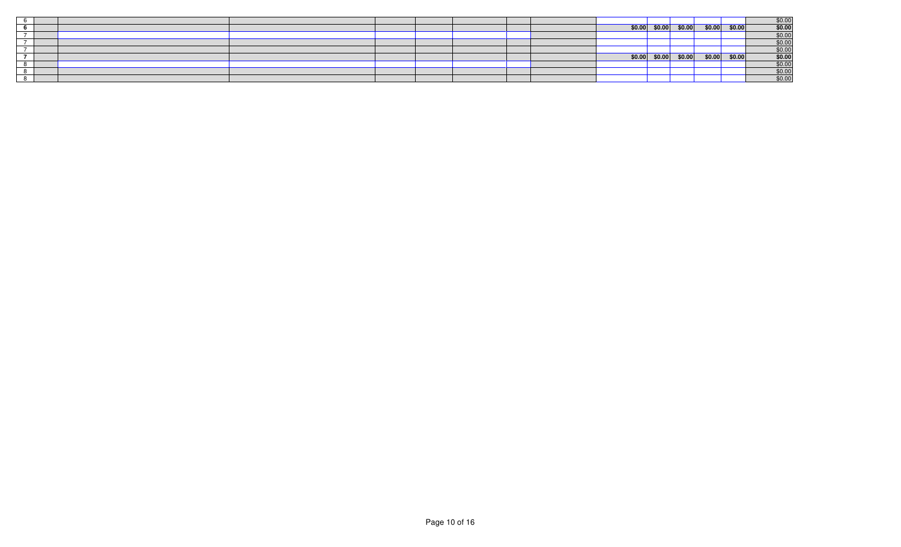|  |  |  |  |  |                         |  |                 | $\frac{$0.00}{$0.00}$ |
|--|--|--|--|--|-------------------------|--|-----------------|-----------------------|
|  |  |  |  |  | $$0.00$ $$0.00$ $$0.00$ |  | $$0.00$ \$0.00  |                       |
|  |  |  |  |  |                         |  |                 |                       |
|  |  |  |  |  |                         |  |                 | \$0.00                |
|  |  |  |  |  |                         |  |                 | \$0.00                |
|  |  |  |  |  | $$0.00$ $$0.00$ $$0.00$ |  | $$0.00$ $$0.00$ | $$0.00$<br>$$0.00$    |
|  |  |  |  |  |                         |  |                 |                       |
|  |  |  |  |  |                         |  |                 | \$0.00                |
|  |  |  |  |  |                         |  |                 | \$0.00                |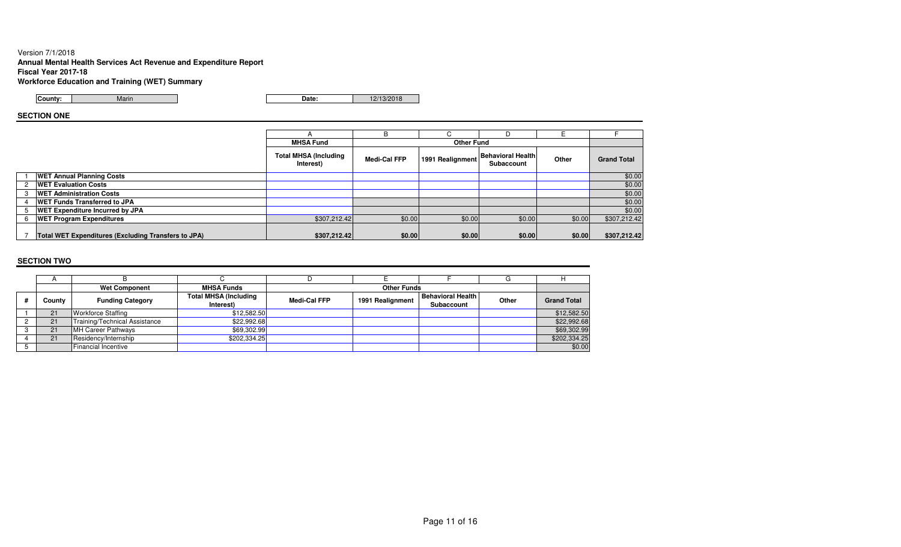## Version 7/1/2018 **Annual Mental Health Services Act Revenue and Expenditure ReportFiscal Year 2017-18**

**Workforce Education and Training (WET) Summary**

**County:**Marin

n **Date:** 12/13/2018

## **SECTION ONE**

|                |                                                     |                                           | R                   | C.                |                                        |        |                    |
|----------------|-----------------------------------------------------|-------------------------------------------|---------------------|-------------------|----------------------------------------|--------|--------------------|
|                |                                                     | <b>MHSA Fund</b>                          |                     | <b>Other Fund</b> |                                        |        |                    |
|                |                                                     | <b>Total MHSA (Including</b><br>Interest) | <b>Medi-Cal FFP</b> | 1991 Realignment  | <b>Behavioral Health</b><br>Subaccount | Other  | <b>Grand Total</b> |
|                | <b>WET Annual Planning Costs</b>                    |                                           |                     |                   |                                        |        | \$0.00             |
| $\overline{2}$ | <b>WET Evaluation Costs</b>                         |                                           |                     |                   |                                        |        | \$0.00             |
| 3              | <b>WET Administration Costs</b>                     |                                           |                     |                   |                                        |        | \$0.00             |
|                | <b>WET Funds Transferred to JPA</b>                 |                                           |                     |                   |                                        |        | \$0.00             |
|                | <b>WET Expenditure Incurred by JPA</b>              |                                           |                     |                   |                                        |        | \$0.00             |
|                | <b>WET Program Expenditures</b>                     | \$307,212.42                              | \$0.00              | \$0.00            | \$0.00                                 | \$0.00 | \$307,212.42       |
|                | Total WET Expenditures (Excluding Transfers to JPA) | \$307,212.42                              | \$0.00              | \$0.00            | \$0.00                                 | \$0.00 | \$307,212.42       |

|        | <b>Wet Component</b>          | <b>MHSA Funds</b>            |                     | <b>Other Funds</b> |                          |       |                    |
|--------|-------------------------------|------------------------------|---------------------|--------------------|--------------------------|-------|--------------------|
| County | <b>Funding Category</b>       | <b>Total MHSA (Including</b> | <b>Medi-Cal FFP</b> | 1991 Realignment   | <b>Behavioral Health</b> | Other | <b>Grand Total</b> |
|        |                               | Interest)                    |                     |                    | Subaccount               |       |                    |
| 21     | <b>Workforce Staffing</b>     | \$12,582.50                  |                     |                    |                          |       | \$12,582.50        |
|        | Training/Technical Assistance | \$22,992.68                  |                     |                    |                          |       | \$22,992.68        |
| 21     | MH Career Pathways            | \$69,302.99                  |                     |                    |                          |       | \$69,302.99        |
| 21     | Residency/Internship          | \$202,334.25                 |                     |                    |                          |       | \$202,334.25       |
|        | <b>Financial Incentive</b>    |                              |                     |                    |                          |       | \$0.00             |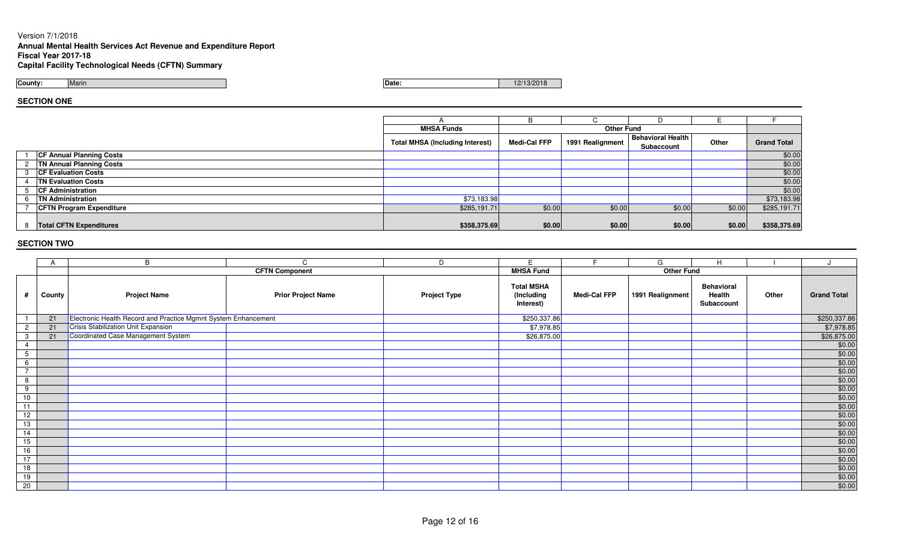## Version 7/1/2018

# **Annual Mental Health Services Act Revenue and Expenditure Report Fiscal Year 2017-18**

**Capital Facility Technological Needs (CFTN) Summary**

**County:**Marin

**Date:** 12/13/2018 **Date:** 12/13/2018

**SECTION ONE**

|               |                                 |                                        | B                   |                   |                          |        |                    |
|---------------|---------------------------------|----------------------------------------|---------------------|-------------------|--------------------------|--------|--------------------|
|               |                                 |                                        |                     |                   |                          |        |                    |
|               |                                 | <b>MHSA Funds</b>                      |                     | <b>Other Fund</b> |                          |        |                    |
|               |                                 | <b>Total MHSA (Including Interest)</b> | <b>Medi-Cal FFP</b> | 1991 Realignment  | <b>Behavioral Health</b> | Other  | <b>Grand Total</b> |
|               |                                 |                                        |                     |                   | Subaccount               |        |                    |
|               | <b>CF Annual Planning Costs</b> |                                        |                     |                   |                          |        | \$0.00             |
| $\mathcal{P}$ | <b>TN Annual Planning Costs</b> |                                        |                     |                   |                          |        | \$0.00             |
|               | <b>CF Evaluation Costs</b>      |                                        |                     |                   |                          |        | \$0.00             |
|               | <b>TN Evaluation Costs</b>      |                                        |                     |                   |                          |        | \$0.00             |
|               | <b>CF Administration</b>        |                                        |                     |                   |                          |        | \$0.00             |
|               | <b>TN Administration</b>        | \$73,183.98                            |                     |                   |                          |        | \$73,183.98        |
|               | <b>CFTN Program Expenditure</b> | \$285,191.71                           | \$0.00              | \$0.00            | \$0.00                   | \$0.00 | \$285,191.71       |
|               |                                 |                                        |                     |                   |                          |        |                    |
|               | 8   Total CFTN Expenditures     | \$358,375.69                           | \$0.00              | \$0.00            | \$0.00                   | \$0.00 | \$358,375.69       |

|                 | A      | B                                                              | C                         | D                   | E                                            | F                   | G                 | H                                         |       |                                                                       |
|-----------------|--------|----------------------------------------------------------------|---------------------------|---------------------|----------------------------------------------|---------------------|-------------------|-------------------------------------------|-------|-----------------------------------------------------------------------|
|                 |        |                                                                | <b>CFTN Component</b>     |                     | <b>MHSA Fund</b>                             |                     | <b>Other Fund</b> |                                           |       |                                                                       |
| #               | County | <b>Project Name</b>                                            | <b>Prior Project Name</b> | <b>Project Type</b> | <b>Total MSHA</b><br>(Including<br>Interest) | <b>Medi-Cal FFP</b> | 1991 Realignment  | <b>Behavioral</b><br>Health<br>Subaccount | Other | <b>Grand Total</b>                                                    |
|                 | 21     | Electronic Health Record and Practice Mgmnt System Enhancement |                           |                     | \$250,337.86                                 |                     |                   |                                           |       | \$250,337.86                                                          |
| $\overline{2}$  | 21     | <b>Crisis Stabilization Unit Expansion</b>                     |                           |                     | \$7,978.85                                   |                     |                   |                                           |       | \$7,978.85                                                            |
| $\mathbf{3}$    | 21     | Coordinated Case Management System                             |                           |                     | \$26,875.00                                  |                     |                   |                                           |       | \$26,875.00                                                           |
| 4               |        |                                                                |                           |                     |                                              |                     |                   |                                           |       | \$0.00                                                                |
| $5\overline{)}$ |        |                                                                |                           |                     |                                              |                     |                   |                                           |       | \$0.00                                                                |
| 6               |        |                                                                |                           |                     |                                              |                     |                   |                                           |       | $$0.00$<br>$$0.00$                                                    |
| $\overline{z}$  |        |                                                                |                           |                     |                                              |                     |                   |                                           |       |                                                                       |
| 8               |        |                                                                |                           |                     |                                              |                     |                   |                                           |       | $$0.00$<br>$$0.00$                                                    |
| 9               |        |                                                                |                           |                     |                                              |                     |                   |                                           |       |                                                                       |
| 10              |        |                                                                |                           |                     |                                              |                     |                   |                                           |       | $\frac{$0.00}{$0.00}$                                                 |
| 11              |        |                                                                |                           |                     |                                              |                     |                   |                                           |       |                                                                       |
| 12              |        |                                                                |                           |                     |                                              |                     |                   |                                           |       | \$0.00                                                                |
| 13              |        |                                                                |                           |                     |                                              |                     |                   |                                           |       | \$0.00                                                                |
| 14              |        |                                                                |                           |                     |                                              |                     |                   |                                           |       | $\frac{$0.00}{$0.00}$<br>$\$0.00$<br>$\$0.00$<br>$\$0.00$<br>$\$0.00$ |
| 15              |        |                                                                |                           |                     |                                              |                     |                   |                                           |       |                                                                       |
| 16              |        |                                                                |                           |                     |                                              |                     |                   |                                           |       |                                                                       |
| 17              |        |                                                                |                           |                     |                                              |                     |                   |                                           |       |                                                                       |
| 18              |        |                                                                |                           |                     |                                              |                     |                   |                                           |       |                                                                       |
| 19              |        |                                                                |                           |                     |                                              |                     |                   |                                           |       | $\frac{$0.00}{$0.00}$                                                 |
| 20              |        |                                                                |                           |                     |                                              |                     |                   |                                           |       |                                                                       |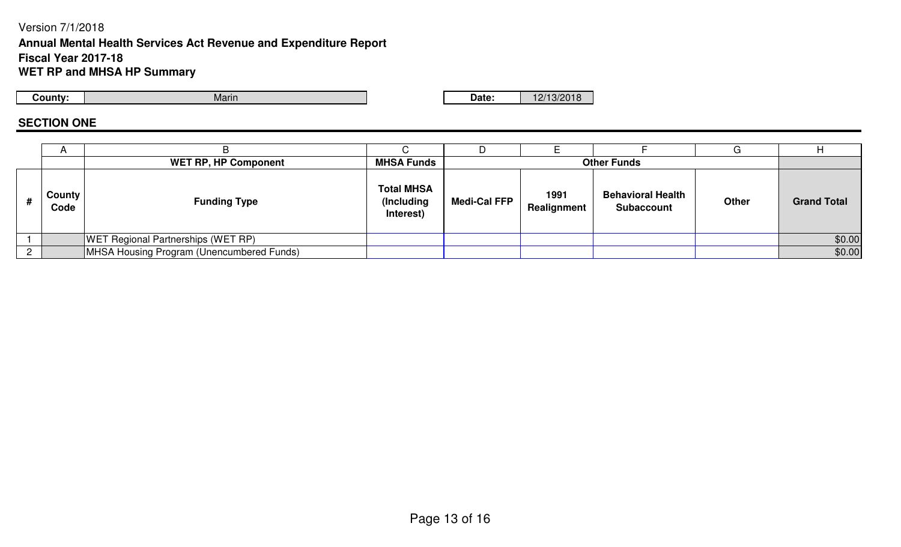## Version 7/1/2018 **Annual Mental Health Services Act Revenue and Expenditure ReportFiscal Year 2017-18WET RP and MHSA HP Summary**

**County:**

Marin

**Date:** 12/13/2018

## **SECTION ONE**

|   | $\mathsf{A}$   |                                           |                                              |                     |                     |                                               |              |                    |
|---|----------------|-------------------------------------------|----------------------------------------------|---------------------|---------------------|-----------------------------------------------|--------------|--------------------|
|   |                | <b>WET RP, HP Component</b>               | <b>MHSA Funds</b>                            |                     |                     | <b>Other Funds</b>                            |              |                    |
| # | County<br>Code | <b>Funding Type</b>                       | <b>Total MHSA</b><br>(Including<br>Interest) | <b>Medi-Cal FFP</b> | 1991<br>Realignment | <b>Behavioral Health</b><br><b>Subaccount</b> | <b>Other</b> | <b>Grand Total</b> |
|   |                | <b>WET Regional Partnerships (WET RP)</b> |                                              |                     |                     |                                               |              | \$0.00             |
|   |                | MHSA Housing Program (Unencumbered Funds) |                                              |                     |                     |                                               |              | \$0.00             |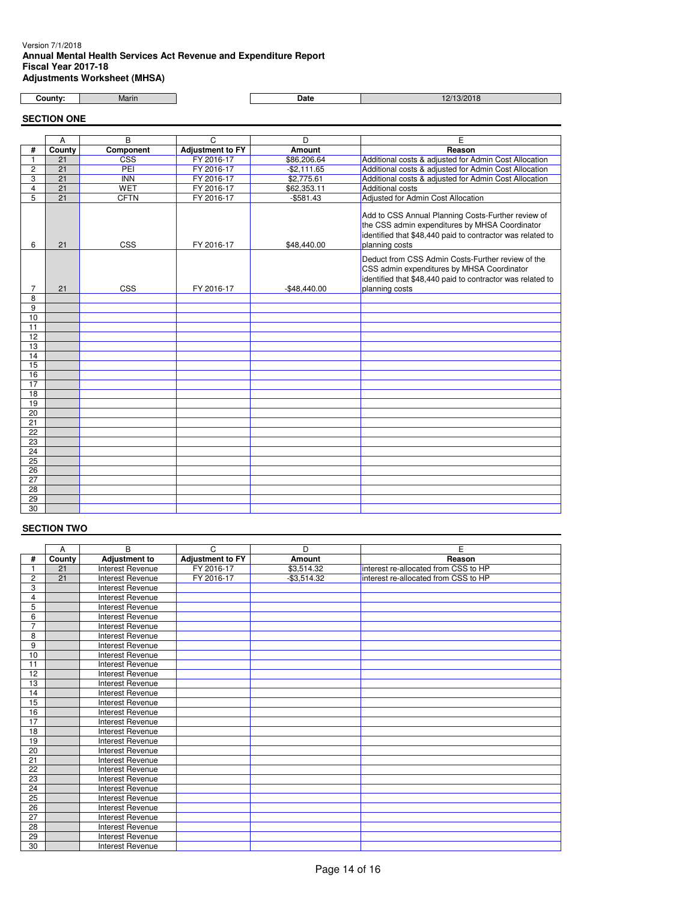#### Version 7/1/2018 **Annual Mental Health Services Act Revenue and Expenditure Report Fiscal Year 2017-18 Adjustments Worksheet (MHSA)**

| County: |  |
|---------|--|
|         |  |

Marin **Date** 12/13/2018

**SECTION ONE**

|                 | A               | B                       | C                       | D             | Е                                                                                                                                                                                    |  |
|-----------------|-----------------|-------------------------|-------------------------|---------------|--------------------------------------------------------------------------------------------------------------------------------------------------------------------------------------|--|
| #               | County          | Component               | <b>Adjustment to FY</b> | Amount        | Reason                                                                                                                                                                               |  |
| 1               | 21              | $\overline{\text{CSS}}$ | FY 2016-17              | \$86,206.64   | Additional costs & adjusted for Admin Cost Allocation                                                                                                                                |  |
| $\overline{2}$  | 21              | PEI                     | FY 2016-17              | $-$2,111.65$  | Additional costs & adjusted for Admin Cost Allocation                                                                                                                                |  |
| 3               | $\overline{21}$ | <b>INN</b>              | FY 2016-17              | \$2,775.61    | Additional costs & adjusted for Admin Cost Allocation                                                                                                                                |  |
| $\overline{4}$  | 21              | <b>WET</b>              | FY 2016-17              | \$62,353.11   | Additional costs                                                                                                                                                                     |  |
| 5               | 21              | <b>CFTN</b>             | FY 2016-17              | $-$581.43$    | Adjusted for Admin Cost Allocation                                                                                                                                                   |  |
| 6               | 21              | <b>CSS</b>              | FY 2016-17              | \$48,440.00   | Add to CSS Annual Planning Costs-Further review of<br>the CSS admin expenditures by MHSA Coordinator<br>identified that \$48,440 paid to contractor was related to<br>planning costs |  |
| 7               | 21              | CSS                     | FY 2016-17              | $-$48,440.00$ | Deduct from CSS Admin Costs-Further review of the<br>CSS admin expenditures by MHSA Coordinator<br>identified that \$48,440 paid to contractor was related to<br>planning costs      |  |
| 8               |                 |                         |                         |               |                                                                                                                                                                                      |  |
| $\overline{9}$  |                 |                         |                         |               |                                                                                                                                                                                      |  |
| 10              |                 |                         |                         |               |                                                                                                                                                                                      |  |
| 11              |                 |                         |                         |               |                                                                                                                                                                                      |  |
| 12              |                 |                         |                         |               |                                                                                                                                                                                      |  |
| 13              |                 |                         |                         |               |                                                                                                                                                                                      |  |
| 14              |                 |                         |                         |               |                                                                                                                                                                                      |  |
| 15              |                 |                         |                         |               |                                                                                                                                                                                      |  |
| 16              |                 |                         |                         |               |                                                                                                                                                                                      |  |
| 17              |                 |                         |                         |               |                                                                                                                                                                                      |  |
| 18              |                 |                         |                         |               |                                                                                                                                                                                      |  |
| 19              |                 |                         |                         |               |                                                                                                                                                                                      |  |
| 20              |                 |                         |                         |               |                                                                                                                                                                                      |  |
| $\overline{21}$ |                 |                         |                         |               |                                                                                                                                                                                      |  |
| $\overline{22}$ |                 |                         |                         |               |                                                                                                                                                                                      |  |
| 23              |                 |                         |                         |               |                                                                                                                                                                                      |  |
| 24              |                 |                         |                         |               |                                                                                                                                                                                      |  |
| 25              |                 |                         |                         |               |                                                                                                                                                                                      |  |
| 26              |                 |                         |                         |               |                                                                                                                                                                                      |  |
| $\overline{27}$ |                 |                         |                         |               |                                                                                                                                                                                      |  |
| 28              |                 |                         |                         |               |                                                                                                                                                                                      |  |
| 29              |                 |                         |                         |               |                                                                                                                                                                                      |  |
| $\overline{30}$ |                 |                         |                         |               |                                                                                                                                                                                      |  |

|                | A      | B                       | C                       | D            | E                                    |
|----------------|--------|-------------------------|-------------------------|--------------|--------------------------------------|
| #              | County | <b>Adjustment to</b>    | <b>Adjustment to FY</b> | Amount       | Reason                               |
|                | 21     | <b>Interest Revenue</b> | FY 2016-17              | \$3,514.32   | interest re-allocated from CSS to HP |
| $\overline{c}$ | 21     | Interest Revenue        | FY 2016-17              | $-$3,514.32$ | interest re-allocated from CSS to HP |
| 3              |        | <b>Interest Revenue</b> |                         |              |                                      |
| 4              |        | Interest Revenue        |                         |              |                                      |
| 5              |        | <b>Interest Revenue</b> |                         |              |                                      |
| 6              |        | Interest Revenue        |                         |              |                                      |
| 7              |        | Interest Revenue        |                         |              |                                      |
| 8              |        | <b>Interest Revenue</b> |                         |              |                                      |
| 9              |        | <b>Interest Revenue</b> |                         |              |                                      |
| 10             |        | <b>Interest Revenue</b> |                         |              |                                      |
| 11             |        | Interest Revenue        |                         |              |                                      |
| 12             |        | Interest Revenue        |                         |              |                                      |
| 13             |        | Interest Revenue        |                         |              |                                      |
| 14             |        | Interest Revenue        |                         |              |                                      |
| 15             |        | <b>Interest Revenue</b> |                         |              |                                      |
| 16             |        | Interest Revenue        |                         |              |                                      |
| 17             |        | Interest Revenue        |                         |              |                                      |
| 18             |        | <b>Interest Revenue</b> |                         |              |                                      |
| 19             |        | <b>Interest Revenue</b> |                         |              |                                      |
| 20             |        | <b>Interest Revenue</b> |                         |              |                                      |
| 21             |        | Interest Revenue        |                         |              |                                      |
| 22             |        | Interest Revenue        |                         |              |                                      |
| 23             |        | Interest Revenue        |                         |              |                                      |
| 24             |        | Interest Revenue        |                         |              |                                      |
| 25             |        | Interest Revenue        |                         |              |                                      |
| 26             |        | <b>Interest Revenue</b> |                         |              |                                      |
| 27             |        | <b>Interest Revenue</b> |                         |              |                                      |
| 28             |        | <b>Interest Revenue</b> |                         |              |                                      |
| 29             |        | <b>Interest Revenue</b> |                         |              |                                      |
| 30             |        | Interest Revenue        |                         |              |                                      |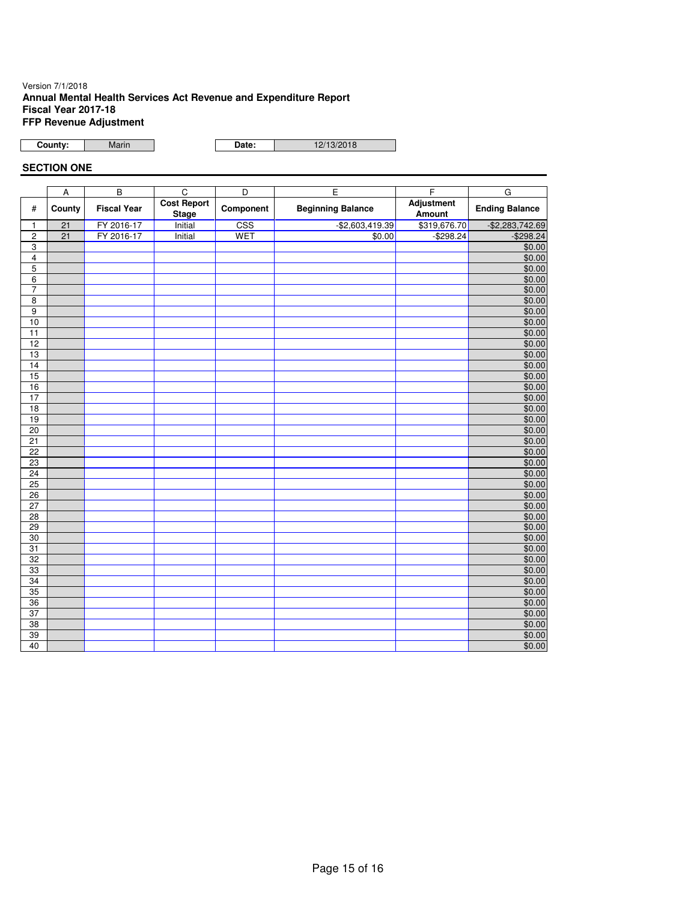## Version 7/1/2018 **Annual Mental Health Services Act Revenue and Expenditure Report Fiscal Year 2017-18 FFP Revenue Adjustment**

**County:** Marin

Date: 12/13/2018

## **SECTION ONE**

|                 | $\overline{A}$ | $\overline{B}$     | $\overline{c}$                     | $\overline{\mathsf{D}}$ | Έ                        | F                           | G                     |
|-----------------|----------------|--------------------|------------------------------------|-------------------------|--------------------------|-----------------------------|-----------------------|
| $\#$            | County         | <b>Fiscal Year</b> | <b>Cost Report</b><br><b>Stage</b> | Component               | <b>Beginning Balance</b> | <b>Adjustment</b><br>Amount | <b>Ending Balance</b> |
| $\mathbf{1}$    | 21             | FY 2016-17         | Initial                            | $\overline{\text{CSS}}$ | $-$ \$2,603,419.39       | \$319,676.70                | $-$ \$2,283,742.69    |
| 2               | 21             | FY 2016-17         | Initial                            | <b>WET</b>              | \$0.00                   | $-$298.24$                  | $-$ \$298.24          |
| 3               |                |                    |                                    |                         |                          |                             | \$0.00                |
| 4               |                |                    |                                    |                         |                          |                             | \$0.00                |
| $\overline{5}$  |                |                    |                                    |                         |                          |                             | \$0.00                |
| 6               |                |                    |                                    |                         |                          |                             | \$0.00                |
| $\overline{7}$  |                |                    |                                    |                         |                          |                             | \$0.00                |
| $\overline{8}$  |                |                    |                                    |                         |                          |                             | \$0.00                |
| $\overline{9}$  |                |                    |                                    |                         |                          |                             | \$0.00                |
| 10              |                |                    |                                    |                         |                          |                             | \$0.00                |
| 11              |                |                    |                                    |                         |                          |                             | \$0.00                |
| 12              |                |                    |                                    |                         |                          |                             | \$0.00                |
| 13              |                |                    |                                    |                         |                          |                             | \$0.00                |
| 14              |                |                    |                                    |                         |                          |                             | \$0.00                |
| 15              |                |                    |                                    |                         |                          |                             | \$0.00                |
| 16              |                |                    |                                    |                         |                          |                             | \$0.00                |
| 17              |                |                    |                                    |                         |                          |                             | \$0.00                |
| 18              |                |                    |                                    |                         |                          |                             | \$0.00                |
| 19              |                |                    |                                    |                         |                          |                             | \$0.00                |
| 20              |                |                    |                                    |                         |                          |                             | \$0.00                |
| 21              |                |                    |                                    |                         |                          |                             | \$0.00                |
| $\overline{22}$ |                |                    |                                    |                         |                          |                             | \$0.00                |
| 23              |                |                    |                                    |                         |                          |                             | \$0.00                |
| 24              |                |                    |                                    |                         |                          |                             | \$0.00                |
| 25              |                |                    |                                    |                         |                          |                             | \$0.00                |
| $\overline{26}$ |                |                    |                                    |                         |                          |                             | \$0.00                |
| $\overline{27}$ |                |                    |                                    |                         |                          |                             | \$0.00                |
| 28              |                |                    |                                    |                         |                          |                             | \$0.00                |
| 29              |                |                    |                                    |                         |                          |                             | \$0.00                |
| 30              |                |                    |                                    |                         |                          |                             | \$0.00                |
| 31              |                |                    |                                    |                         |                          |                             | \$0.00                |
| 32              |                |                    |                                    |                         |                          |                             | \$0.00                |
| 33              |                |                    |                                    |                         |                          |                             | \$0.00                |
| 34              |                |                    |                                    |                         |                          |                             | \$0.00                |
| 35              |                |                    |                                    |                         |                          |                             | \$0.00                |
| 36              |                |                    |                                    |                         |                          |                             | \$0.00                |
| $\overline{37}$ |                |                    |                                    |                         |                          |                             | \$0.00                |
| 38              |                |                    |                                    |                         |                          |                             | \$0.00                |
| 39              |                |                    |                                    |                         |                          |                             | \$0.00                |
| 40              |                |                    |                                    |                         |                          |                             | \$0.00                |
|                 |                |                    |                                    |                         |                          |                             |                       |